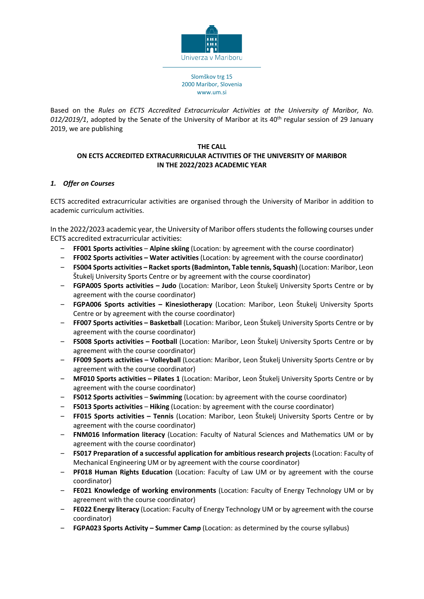

Based on the *Rules on ECTS Accredited Extracurricular Activities at the University of Maribor, No. 012/2019/1*, adopted by the Senate of the University of Maribor at its 40th regular session of 29 January 2019, we are publishing

### **THE CALL ON ECTS ACCREDITED EXTRACURRICULAR ACTIVITIES OF THE UNIVERSITY OF MARIBOR IN THE 2022/2023 ACADEMIC YEAR**

# *1. Offer on Courses*

ECTS accredited extracurricular activities are organised through the University of Maribor in addition to academic curriculum activities.

In the 2022/2023 academic year, the University of Maribor offers students the following courses under ECTS accredited extracurricular activities:

- ‒ **FF001 Sports activities Alpine skiing** (Location: by agreement with the course coordinator)
- ‒ **FF002 Sports activities – Water activities** (Location: by agreement with the course coordinator)
- ‒ **FS004 Sports activities – Racket sports (Badminton, Table tennis, Squash)** (Location: Maribor, Leon Štukelj University Sports Centre or by agreement with the course coordinator)
- ‒ **FGPA005 Sports activities – Judo** (Location: Maribor, Leon Štukelj University Sports Centre or by agreement with the course coordinator)
- ‒ **FGPA006 Sports activities – Kinesiotherapy** (Location: Maribor, Leon Štukelj University Sports Centre or by agreement with the course coordinator)
- ‒ **FF007 Sports activities – Basketball** (Location: Maribor, Leon Štukelj University Sports Centre or by agreement with the course coordinator)
- ‒ **FS008 Sports activities – Football** (Location: Maribor, Leon Štukelj University Sports Centre or by agreement with the course coordinator)
- ‒ **FF009 Sports activities – Volleyball** (Location: Maribor, Leon Štukelj University Sports Centre or by agreement with the course coordinator)
- ‒ **MF010 Sports activities – Pilates 1** (Location: Maribor, Leon Štukelj University Sports Centre or by agreement with the course coordinator)
- ‒ **FS012 Sports activities Swimming** (Location: by agreement with the course coordinator)
- ‒ **FS013 Sports activities Hiking** (Location: by agreement with the course coordinator)
- ‒ **FF015 Sports activities – Tennis** (Location: Maribor, Leon Štukelj University Sports Centre or by agreement with the course coordinator)
- ‒ **FNM016 Information literacy** (Location: Faculty of Natural Sciences and Mathematics UM or by agreement with the course coordinator)
- ‒ **FS017 Preparation of a successful application for ambitious research projects** (Location: Faculty of Mechanical Engineering UM or by agreement with the course coordinator)
- ‒ **PF018 Human Rights Education** (Location: Faculty of Law UM or by agreement with the course coordinator)
- ‒ **FE021 Knowledge of working environments** (Location: Faculty of Energy Technology UM or by agreement with the course coordinator)
- ‒ **FE022 Energy literacy** (Location: Faculty of Energy Technology UM or by agreement with the course coordinator)
- ‒ **FGPA023 Sports Activity – Summer Camp** (Location: as determined by the course syllabus)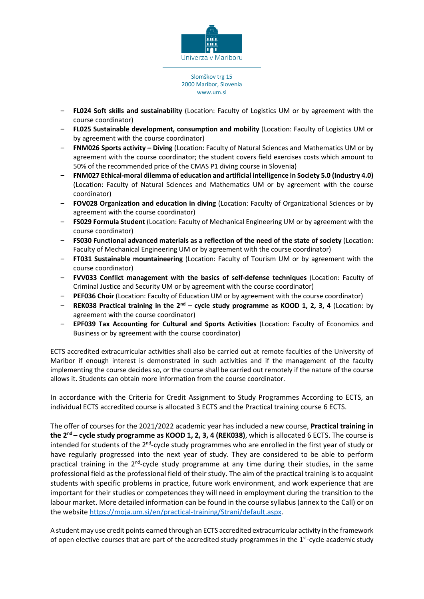

- ‒ **FL024 Soft skills and sustainability** (Location: Faculty of Logistics UM or by agreement with the course coordinator)
- ‒ **FL025 Sustainable development, consumption and mobility** (Location: Faculty of Logistics UM or by agreement with the course coordinator)
- ‒ **FNM026 Sports activity – Diving** (Location: Faculty of Natural Sciences and Mathematics UM or by agreement with the course coordinator; the student covers field exercises costs which amount to 50% of the recommended price of the CMAS P1 diving course in Slovenia)
- ‒ **FNM027 Ethical-moral dilemma of education and artificial intelligence in Society 5.0 (Industry 4.0)** (Location: Faculty of Natural Sciences and Mathematics UM or by agreement with the course coordinator)
- ‒ **FOV028 Organization and education in diving** (Location: Faculty of Organizational Sciences or by agreement with the course coordinator)
- ‒ **FS029 Formula Student** (Location: Faculty of Mechanical Engineering UM or by agreement with the course coordinator)
- ‒ **FS030 Functional advanced materials as a reflection of the need of the state of society** (Location: Faculty of Mechanical Engineering UM or by agreement with the course coordinator)
- ‒ **FT031 Sustainable mountaineering** (Location: Faculty of Tourism UM or by agreement with the course coordinator)
- ‒ **FVV033 Conflict management with the basics of self-defense techniques** (Location: Faculty of Criminal Justice and Security UM or by agreement with the course coordinator)
- ‒ **PEF036 Choir** (Location: Faculty of Education UM or by agreement with the course coordinator)
- ‒ **REK038 Practical training in the 2nd – cycle study programme as KOOD 1, 2, 3, 4** (Location: by agreement with the course coordinator)
- ‒ **EPF039 Tax Accounting for Cultural and Sports Activities** (Location: Faculty of Economics and Business or by agreement with the course coordinator)

ECTS accredited extracurricular activities shall also be carried out at remote faculties of the University of Maribor if enough interest is demonstrated in such activities and if the management of the faculty implementing the course decides so, or the course shall be carried out remotely if the nature of the course allows it. Students can obtain more information from the course coordinator.

In accordance with the Criteria for Credit Assignment to Study Programmes According to ECTS, an individual ECTS accredited course is allocated 3 ECTS and the Practical training course 6 ECTS.

The offer of courses for the 2021/2022 academic year has included a new course, **Practical training in the 2nd – cycle study programme as KOOD 1, 2, 3, 4 (REK038)**, which is allocated 6 ECTS. The course is intended for students of the 2<sup>nd</sup>-cycle study programmes who are enrolled in the first year of study or have regularly progressed into the next year of study. They are considered to be able to perform practical training in the  $2^{nd}$ -cycle study programme at any time during their studies, in the same professional field as the professional field of their study. The aim of the practical training is to acquaint students with specific problems in practice, future work environment, and work experience that are important for their studies or competences they will need in employment during the transition to the labour market. More detailed information can be found in the course syllabus (annex to the Call) or on the website [https://moja.um.si/en/practical-training/Strani/default.aspx.](https://moja.um.si/en/practical-training/Strani/default.aspx)

A student may use credit points earned through an ECTS accredited extracurricular activity in the framework of open elective courses that are part of the accredited study programmes in the 1<sup>st</sup>-cycle academic study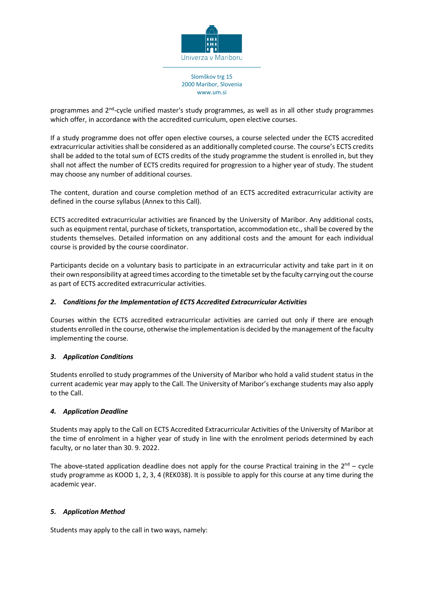

programmes and 2<sup>nd</sup>-cycle unified master's study programmes, as well as in all other study programmes which offer, in accordance with the accredited curriculum, open elective courses.

If a study programme does not offer open elective courses, a course selected under the ECTS accredited extracurricular activities shall be considered as an additionally completed course. The course's ECTS credits shall be added to the total sum of ECTS credits of the study programme the student is enrolled in, but they shall not affect the number of ECTS credits required for progression to a higher year of study. The student may choose any number of additional courses.

The content, duration and course completion method of an ECTS accredited extracurricular activity are defined in the course syllabus (Annex to this Call).

ECTS accredited extracurricular activities are financed by the University of Maribor. Any additional costs, such as equipment rental, purchase of tickets, transportation, accommodation etc., shall be covered by the students themselves. Detailed information on any additional costs and the amount for each individual course is provided by the course coordinator.

Participants decide on a voluntary basis to participate in an extracurricular activity and take part in it on their own responsibility at agreed times according to the timetable set by the faculty carrying out the course as part of ECTS accredited extracurricular activities.

## *2. Conditions for the Implementation of ECTS Accredited Extracurricular Activities*

Courses within the ECTS accredited extracurricular activities are carried out only if there are enough students enrolled in the course, otherwise the implementation is decided by the management of the faculty implementing the course.

### *3. Application Conditions*

Students enrolled to study programmes of the University of Maribor who hold a valid student status in the current academic year may apply to the Call. The University of Maribor's exchange students may also apply to the Call.

### *4. Application Deadline*

Students may apply to the Call on ECTS Accredited Extracurricular Activities of the University of Maribor at the time of enrolment in a higher year of study in line with the enrolment periods determined by each faculty, or no later than 30. 9. 2022.

The above-stated application deadline does not apply for the course Practical training in the  $2<sup>nd</sup>$  – cycle study programme as KOOD 1, 2, 3, 4 (REK038). It is possible to apply for this course at any time during the academic year.

### *5. Application Method*

Students may apply to the call in two ways, namely: